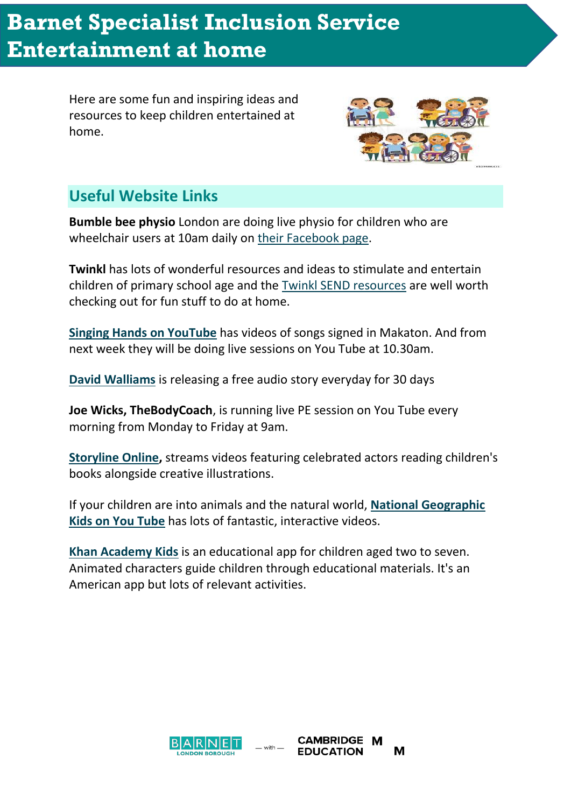## **Entertainment at home Barnet Specialist Inclusion Service**

Here are some fun and inspiring ideas and resources to keep children entertained at home.



## **Useful Website Links**

**Bumble bee physio** London are doing live physio for children who are wheelchair users at 10am daily on [their Facebook page.](https://www.facebook.com/bumblebeephysio/)

**Twinkl** has lots of wonderful resources and ideas to stimulate and entertain children of primary school age and the [Twinkl SEND resources](https://www.twinkl.co.uk/resources/specialeducationalneeds-sen) are well worth checking out for fun stuff to do at home.

**[Singing Hands on YouTube](https://www.youtube.com/user/SingingHandsUK)** has videos of songs signed in Makaton. And from next week they will be doing live sessions on You Tube at 10.30am.

**[David Walliams](https://www.worldofdavidwalliams.com/elevenses/)** is releasing a free audio story everyday for 30 days

**Joe Wicks, TheBodyCoach**, is running live PE session on You Tube every morning from Monday to Friday at 9am.

**[Storyline Online,](https://www.storylineonline.net/)** streams videos featuring celebrated actors reading children's books alongside creative illustrations.

If your children are into animals and the natural world, **[National Geographic](https://www.youtube.com/channel/UCXVCgDuD_QCkI7gTKU7-tpg)  [Kids on You Tube](https://www.youtube.com/channel/UCXVCgDuD_QCkI7gTKU7-tpg)** has lots of fantastic, interactive videos.

**[Khan Academy Kids](https://khankids.zendesk.com/hc/en-us/articles/360004559231-Welcome-to-Khan-Academy-Kids)** is an educational app for children aged two to seven. Animated characters guide children through educational materials. It's an American app but lots of relevant activities.

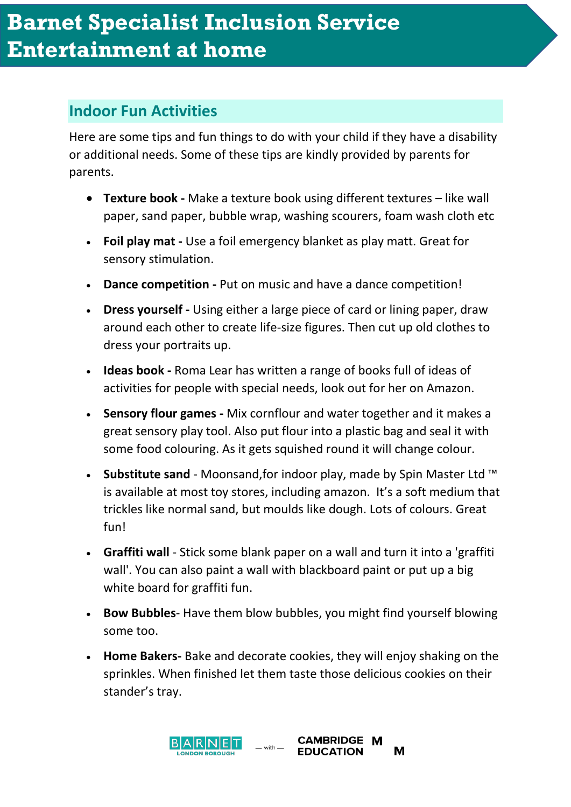## **Indoor Fun Activities**

Here are some tips and fun things to do with your child if they have a disability or additional needs. Some of these tips are kindly provided by parents for parents.

- **Texture book -** Make a texture book using different textures like wall paper, sand paper, bubble wrap, washing scourers, foam wash cloth etc
- **Foil play mat -** Use a foil emergency blanket as play matt. Great for sensory stimulation.
- **Dance competition -** Put on music and have a dance competition!
- **Dress yourself -** Using either a large piece of card or lining paper, draw around each other to create life-size figures. Then cut up old clothes to dress your portraits up.
- **Ideas book -** Roma Lear has written a range of books full of ideas of activities for people with special needs, look out for her on Amazon.
- **Sensory flour games -** Mix cornflour and water together and it makes a great sensory play tool. Also put flour into a plastic bag and seal it with some food colouring. As it gets squished round it will change colour.
- **Substitute sand** Moonsand,for indoor play, made by Spin Master Ltd ™ is available at most toy stores, including amazon. It's a soft medium that trickles like normal sand, but moulds like dough. Lots of colours. Great fun!
- **Graffiti wall** Stick some blank paper on a wall and turn it into a 'graffiti wall'. You can also paint a wall with blackboard paint or put up a big white board for graffiti fun.
- **Bow Bubbles** Have them blow bubbles, you might find yourself blowing some too.
- **Home Bakers-** Bake and decorate cookies, they will enjoy shaking on the sprinkles. When finished let them taste those delicious cookies on their stander's tray.